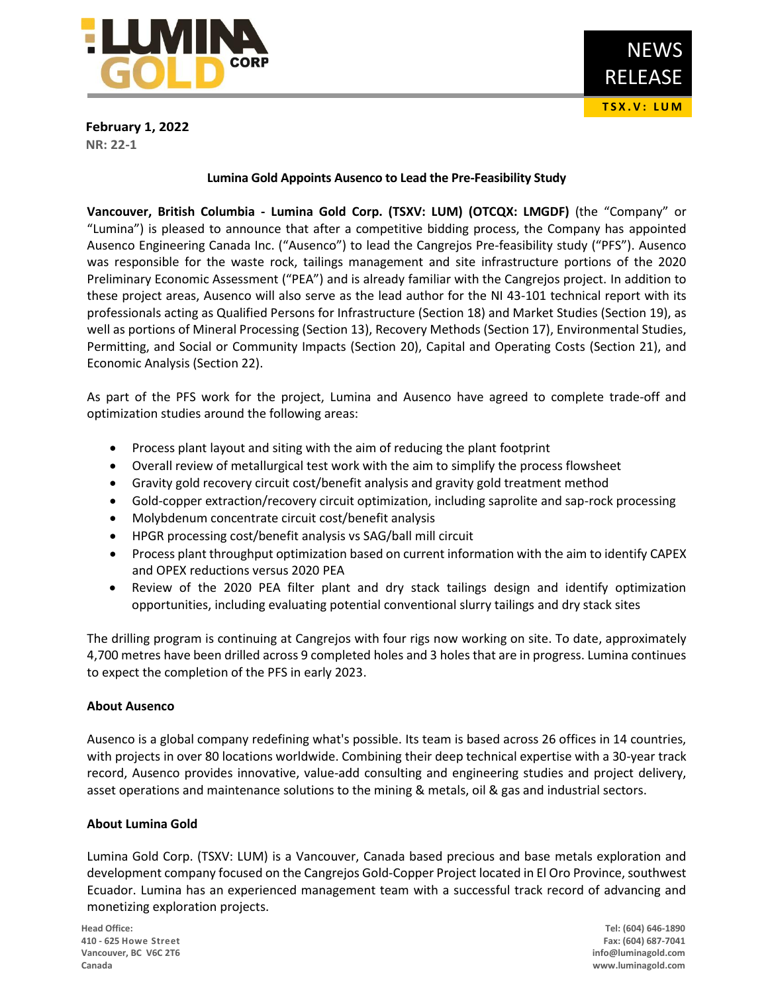

**February 1, 2022 NR: 22-1**

### **Lumina Gold Appoints Ausenco to Lead the Pre-Feasibility Study**

**Vancouver, British Columbia - Lumina Gold Corp. (TSXV: LUM) (OTCQX: LMGDF)** (the "Company" or "Lumina") is pleased to announce that after a competitive bidding process, the Company has appointed Ausenco Engineering Canada Inc. ("Ausenco") to lead the Cangrejos Pre-feasibility study ("PFS"). Ausenco was responsible for the waste rock, tailings management and site infrastructure portions of the 2020 Preliminary Economic Assessment ("PEA") and is already familiar with the Cangrejos project. In addition to these project areas, Ausenco will also serve as the lead author for the NI 43-101 technical report with its professionals acting as Qualified Persons for Infrastructure (Section 18) and Market Studies (Section 19), as well as portions of Mineral Processing (Section 13), Recovery Methods (Section 17), Environmental Studies, Permitting, and Social or Community Impacts (Section 20), Capital and Operating Costs (Section 21), and Economic Analysis (Section 22).

As part of the PFS work for the project, Lumina and Ausenco have agreed to complete trade-off and optimization studies around the following areas:

- Process plant layout and siting with the aim of reducing the plant footprint
- Overall review of metallurgical test work with the aim to simplify the process flowsheet
- Gravity gold recovery circuit cost/benefit analysis and gravity gold treatment method
- Gold-copper extraction/recovery circuit optimization, including saprolite and sap-rock processing
- Molybdenum concentrate circuit cost/benefit analysis
- HPGR processing cost/benefit analysis vs SAG/ball mill circuit
- Process plant throughput optimization based on current information with the aim to identify CAPEX and OPEX reductions versus 2020 PEA
- Review of the 2020 PEA filter plant and dry stack tailings design and identify optimization opportunities, including evaluating potential conventional slurry tailings and dry stack sites

The drilling program is continuing at Cangrejos with four rigs now working on site. To date, approximately 4,700 metres have been drilled across 9 completed holes and 3 holes that are in progress. Lumina continues to expect the completion of the PFS in early 2023.

# **About Ausenco**

Ausenco is a global company redefining what's possible. Its team is based across 26 offices in 14 countries, with projects in over 80 locations worldwide. Combining their deep technical expertise with a 30-year track record, Ausenco provides innovative, value-add consulting and engineering studies and project delivery, asset operations and maintenance solutions to the mining & metals, oil & gas and industrial sectors.

# **About Lumina Gold**

Lumina Gold Corp. (TSXV: LUM) is a Vancouver, Canada based precious and base metals exploration and development company focused on the Cangrejos Gold-Copper Project located in El Oro Province, southwest Ecuador. Lumina has an experienced management team with a successful track record of advancing and monetizing exploration projects.

**Head Office: Tel: (604) 646-1890 410 - 625 Howe Street Fax: (604) 687-7041 Vancouver, BC V6C 2T6 info@luminagold.com Canada www.luminagold.com**